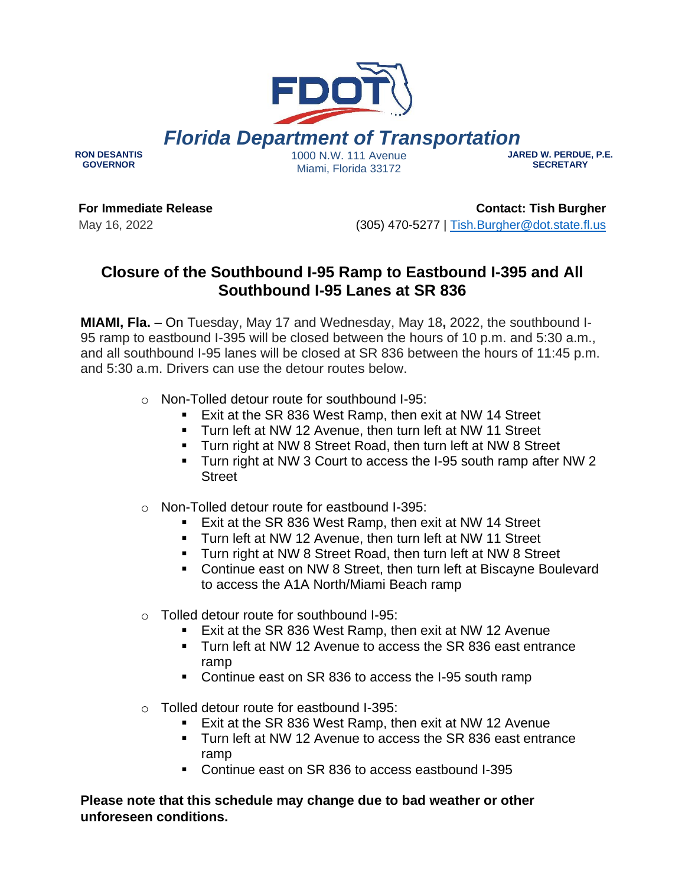

**RON DESANTIS GOVERNOR**

1000 N.W. 111 Avenue Miami, Florida 33172

## **JARED W. PERDUE, P.E. SECRETARY**

**For Immediate Release** May 16, 2022

**Contact: Tish Burgher** (305) 470-5277 | [Tish.Burgher@dot.state.fl.us](mailto:Tish.Burgher@dot.state.fl.us)

## **Closure of the Southbound I-95 Ramp to Eastbound I-395 and All Southbound I-95 Lanes at SR 836**

**MIAMI, Fla.** – On Tuesday, May 17 and Wednesday, May 18**,** 2022, the southbound I-95 ramp to eastbound I-395 will be closed between the hours of 10 p.m. and 5:30 a.m., and all southbound I-95 lanes will be closed at SR 836 between the hours of 11:45 p.m. and 5:30 a.m. Drivers can use the detour routes below.

- o Non-Tolled detour route for southbound I-95:
	- Exit at the SR 836 West Ramp, then exit at NW 14 Street
	- **Turn left at NW 12 Avenue, then turn left at NW 11 Street**
	- Turn right at NW 8 Street Road, then turn left at NW 8 Street
	- Turn right at NW 3 Court to access the I-95 south ramp after NW 2 **Street**
- o Non-Tolled detour route for eastbound I-395:
	- Exit at the SR 836 West Ramp, then exit at NW 14 Street
	- Turn left at NW 12 Avenue, then turn left at NW 11 Street
	- Turn right at NW 8 Street Road, then turn left at NW 8 Street
	- Continue east on NW 8 Street, then turn left at Biscayne Boulevard to access the A1A North/Miami Beach ramp

o Tolled detour route for southbound I-95:

- Exit at the SR 836 West Ramp, then exit at NW 12 Avenue
- Turn left at NW 12 Avenue to access the SR 836 east entrance ramp
- Continue east on SR 836 to access the I-95 south ramp
- o Tolled detour route for eastbound I-395:
	- Exit at the SR 836 West Ramp, then exit at NW 12 Avenue
	- Turn left at NW 12 Avenue to access the SR 836 east entrance ramp
	- Continue east on SR 836 to access eastbound I-395

**Please note that this schedule may change due to bad weather or other unforeseen conditions.**